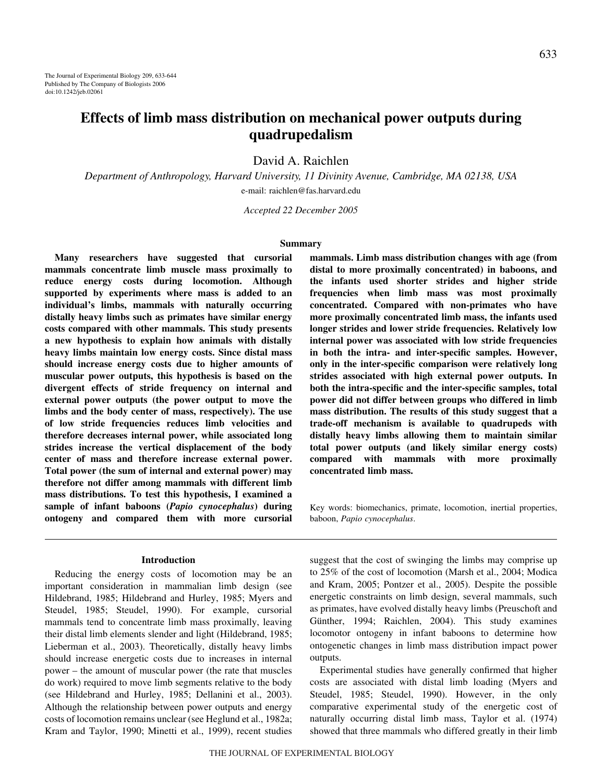# **Effects of limb mass distribution on mechanical power outputs during quadrupedalism**

David A. Raichlen

*Department of Anthropology, Harvard University, 11 Divinity Avenue, Cambridge, MA 02138, USA* e-mail: raichlen@fas.harvard.edu

*Accepted 22 December 2005*

#### **Summary**

**Many researchers have suggested that cursorial mammals concentrate limb muscle mass proximally to reduce energy costs during locomotion. Although supported by experiments where mass is added to an individual's limbs, mammals with naturally occurring distally heavy limbs such as primates have similar energy costs compared with other mammals. This study presents a new hypothesis to explain how animals with distally heavy limbs maintain low energy costs. Since distal mass should increase energy costs due to higher amounts of muscular power outputs, this hypothesis is based on the divergent effects of stride frequency on internal and external power outputs (the power output to move the limbs and the body center of mass, respectively). The use of low stride frequencies reduces limb velocities and therefore decreases internal power, while associated long strides increase the vertical displacement of the body center of mass and therefore increase external power. Total power (the sum of internal and external power) may therefore not differ among mammals with different limb mass distributions. To test this hypothesis, I examined a sample of infant baboons (***Papio cynocephalus***) during ontogeny and compared them with more cursorial**

#### **Introduction**

Reducing the energy costs of locomotion may be an important consideration in mammalian limb design (see Hildebrand, 1985; Hildebrand and Hurley, 1985; Myers and Steudel, 1985; Steudel, 1990). For example, cursorial mammals tend to concentrate limb mass proximally, leaving their distal limb elements slender and light (Hildebrand, 1985; Lieberman et al., 2003). Theoretically, distally heavy limbs should increase energetic costs due to increases in internal power – the amount of muscular power (the rate that muscles do work) required to move limb segments relative to the body (see Hildebrand and Hurley, 1985; Dellanini et al., 2003). Although the relationship between power outputs and energy costs of locomotion remains unclear (see Heglund et al., 1982a; Kram and Taylor, 1990; Minetti et al., 1999), recent studies

**mammals. Limb mass distribution changes with age (from distal to more proximally concentrated) in baboons, and the infants used shorter strides and higher stride frequencies when limb mass was most proximally concentrated. Compared with non-primates who have more proximally concentrated limb mass, the infants used longer strides and lower stride frequencies. Relatively low internal power was associated with low stride frequencies in both the intra- and inter-specific samples. However, only in the inter-specific comparison were relatively long strides associated with high external power outputs. In both the intra-specific and the inter-specific samples, total power did not differ between groups who differed in limb mass distribution. The results of this study suggest that a trade-off mechanism is available to quadrupeds with distally heavy limbs allowing them to maintain similar total power outputs (and likely similar energy costs) compared with mammals with more proximally concentrated limb mass.** 

Key words: biomechanics, primate, locomotion, inertial properties, baboon, *Papio cynocephalus*.

suggest that the cost of swinging the limbs may comprise up to 25% of the cost of locomotion (Marsh et al., 2004; Modica and Kram, 2005; Pontzer et al., 2005). Despite the possible energetic constraints on limb design, several mammals, such as primates, have evolved distally heavy limbs (Preuschoft and Günther, 1994; Raichlen, 2004). This study examines locomotor ontogeny in infant baboons to determine how ontogenetic changes in limb mass distribution impact power outputs.

Experimental studies have generally confirmed that higher costs are associated with distal limb loading (Myers and Steudel, 1985; Steudel, 1990). However, in the only comparative experimental study of the energetic cost of naturally occurring distal limb mass, Taylor et al. (1974) showed that three mammals who differed greatly in their limb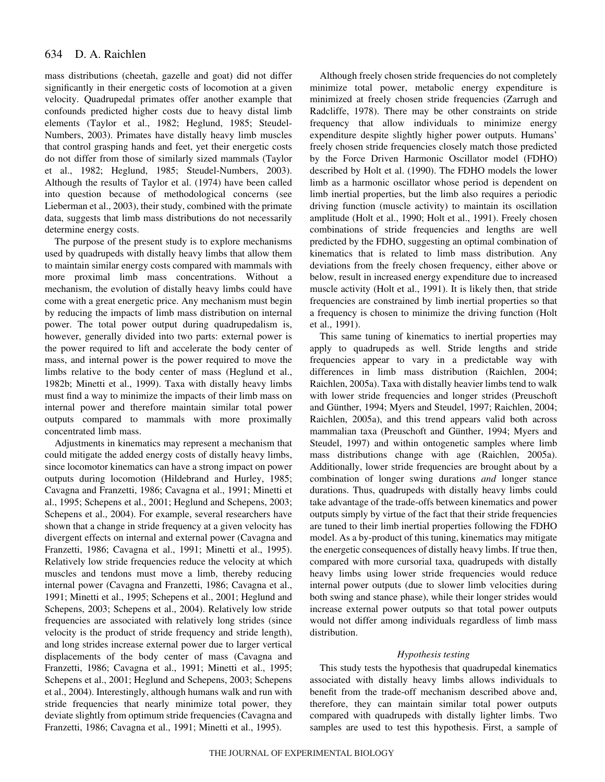mass distributions (cheetah, gazelle and goat) did not differ significantly in their energetic costs of locomotion at a given velocity. Quadrupedal primates offer another example that confounds predicted higher costs due to heavy distal limb elements (Taylor et al., 1982; Heglund, 1985; Steudel-Numbers, 2003). Primates have distally heavy limb muscles that control grasping hands and feet, yet their energetic costs do not differ from those of similarly sized mammals (Taylor et al., 1982; Heglund, 1985; Steudel-Numbers, 2003). Although the results of Taylor et al. (1974) have been called into question because of methodological concerns (see Lieberman et al., 2003), their study, combined with the primate data, suggests that limb mass distributions do not necessarily determine energy costs.

The purpose of the present study is to explore mechanisms used by quadrupeds with distally heavy limbs that allow them to maintain similar energy costs compared with mammals with more proximal limb mass concentrations. Without a mechanism, the evolution of distally heavy limbs could have come with a great energetic price. Any mechanism must begin by reducing the impacts of limb mass distribution on internal power. The total power output during quadrupedalism is, however, generally divided into two parts: external power is the power required to lift and accelerate the body center of mass, and internal power is the power required to move the limbs relative to the body center of mass (Heglund et al., 1982b; Minetti et al., 1999). Taxa with distally heavy limbs must find a way to minimize the impacts of their limb mass on internal power and therefore maintain similar total power outputs compared to mammals with more proximally concentrated limb mass.

Adjustments in kinematics may represent a mechanism that could mitigate the added energy costs of distally heavy limbs, since locomotor kinematics can have a strong impact on power outputs during locomotion (Hildebrand and Hurley, 1985; Cavagna and Franzetti, 1986; Cavagna et al., 1991; Minetti et al., 1995; Schepens et al., 2001; Heglund and Schepens, 2003; Schepens et al., 2004). For example, several researchers have shown that a change in stride frequency at a given velocity has divergent effects on internal and external power (Cavagna and Franzetti, 1986; Cavagna et al., 1991; Minetti et al., 1995). Relatively low stride frequencies reduce the velocity at which muscles and tendons must move a limb, thereby reducing internal power (Cavagna and Franzetti, 1986; Cavagna et al., 1991; Minetti et al., 1995; Schepens et al., 2001; Heglund and Schepens, 2003; Schepens et al., 2004). Relatively low stride frequencies are associated with relatively long strides (since velocity is the product of stride frequency and stride length), and long strides increase external power due to larger vertical displacements of the body center of mass (Cavagna and Franzetti, 1986; Cavagna et al., 1991; Minetti et al., 1995; Schepens et al., 2001; Heglund and Schepens, 2003; Schepens et al., 2004). Interestingly, although humans walk and run with stride frequencies that nearly minimize total power, they deviate slightly from optimum stride frequencies (Cavagna and Franzetti, 1986; Cavagna et al., 1991; Minetti et al., 1995).

Although freely chosen stride frequencies do not completely minimize total power, metabolic energy expenditure is minimized at freely chosen stride frequencies (Zarrugh and Radcliffe, 1978). There may be other constraints on stride frequency that allow individuals to minimize energy expenditure despite slightly higher power outputs. Humans' freely chosen stride frequencies closely match those predicted by the Force Driven Harmonic Oscillator model (FDHO) described by Holt et al. (1990). The FDHO models the lower limb as a harmonic oscillator whose period is dependent on limb inertial properties, but the limb also requires a periodic driving function (muscle activity) to maintain its oscillation amplitude (Holt et al., 1990; Holt et al., 1991). Freely chosen combinations of stride frequencies and lengths are well predicted by the FDHO, suggesting an optimal combination of kinematics that is related to limb mass distribution. Any deviations from the freely chosen frequency, either above or below, result in increased energy expenditure due to increased muscle activity (Holt et al., 1991). It is likely then, that stride frequencies are constrained by limb inertial properties so that a frequency is chosen to minimize the driving function (Holt et al., 1991).

This same tuning of kinematics to inertial properties may apply to quadrupeds as well. Stride lengths and stride frequencies appear to vary in a predictable way with differences in limb mass distribution (Raichlen, 2004; Raichlen, 2005a). Taxa with distally heavier limbs tend to walk with lower stride frequencies and longer strides (Preuschoft and Günther, 1994; Myers and Steudel, 1997; Raichlen, 2004; Raichlen, 2005a), and this trend appears valid both across mammalian taxa (Preuschoft and Günther, 1994; Myers and Steudel, 1997) and within ontogenetic samples where limb mass distributions change with age (Raichlen, 2005a). Additionally, lower stride frequencies are brought about by a combination of longer swing durations *and* longer stance durations. Thus, quadrupeds with distally heavy limbs could take advantage of the trade-offs between kinematics and power outputs simply by virtue of the fact that their stride frequencies are tuned to their limb inertial properties following the FDHO model. As a by-product of this tuning, kinematics may mitigate the energetic consequences of distally heavy limbs. If true then, compared with more cursorial taxa, quadrupeds with distally heavy limbs using lower stride frequencies would reduce internal power outputs (due to slower limb velocities during both swing and stance phase), while their longer strides would increase external power outputs so that total power outputs would not differ among individuals regardless of limb mass distribution.

# *Hypothesis testing*

This study tests the hypothesis that quadrupedal kinematics associated with distally heavy limbs allows individuals to benefit from the trade-off mechanism described above and, therefore, they can maintain similar total power outputs compared with quadrupeds with distally lighter limbs. Two samples are used to test this hypothesis. First, a sample of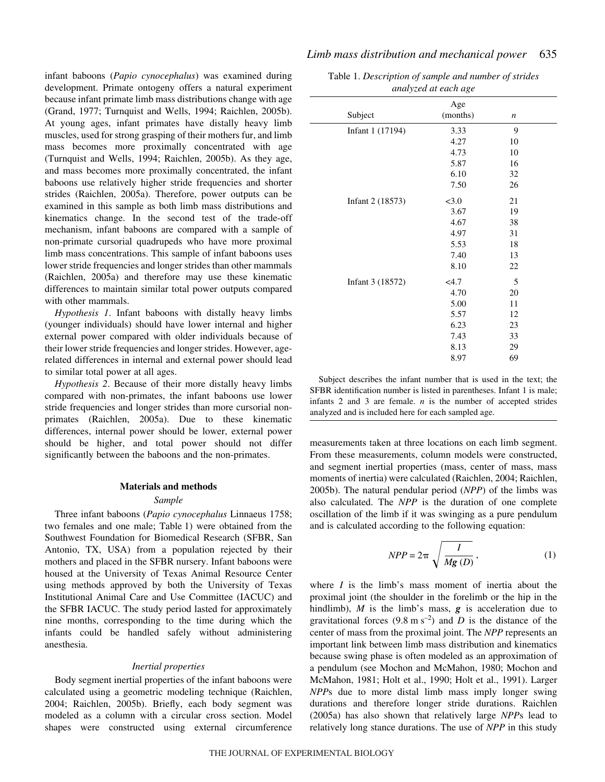infant baboons (*Papio cynocephalus*) was examined during development. Primate ontogeny offers a natural experiment because infant primate limb mass distributions change with age (Grand, 1977; Turnquist and Wells, 1994; Raichlen, 2005b). At young ages, infant primates have distally heavy limb muscles, used for strong grasping of their mothers fur, and limb mass becomes more proximally concentrated with age (Turnquist and Wells, 1994; Raichlen, 2005b). As they age, and mass becomes more proximally concentrated, the infant baboons use relatively higher stride frequencies and shorter strides (Raichlen, 2005a). Therefore, power outputs can be examined in this sample as both limb mass distributions and kinematics change. In the second test of the trade-off mechanism, infant baboons are compared with a sample of non-primate cursorial quadrupeds who have more proximal limb mass concentrations. This sample of infant baboons uses lower stride frequencies and longer strides than other mammals (Raichlen, 2005a) and therefore may use these kinematic differences to maintain similar total power outputs compared with other mammals.

*Hypothesis 1*. Infant baboons with distally heavy limbs (younger individuals) should have lower internal and higher external power compared with older individuals because of their lower stride frequencies and longer strides. However, agerelated differences in internal and external power should lead to similar total power at all ages.

*Hypothesis 2*. Because of their more distally heavy limbs compared with non-primates, the infant baboons use lower stride frequencies and longer strides than more cursorial nonprimates (Raichlen, 2005a). Due to these kinematic differences, internal power should be lower, external power should be higher, and total power should not differ significantly between the baboons and the non-primates.

#### **Materials and methods**

#### *Sample*

Three infant baboons (*Papio cynocephalus* Linnaeus 1758; two females and one male; Table 1) were obtained from the Southwest Foundation for Biomedical Research (SFBR, San Antonio, TX, USA) from a population rejected by their mothers and placed in the SFBR nursery. Infant baboons were housed at the University of Texas Animal Resource Center using methods approved by both the University of Texas Institutional Animal Care and Use Committee (IACUC) and the SFBR IACUC. The study period lasted for approximately nine months, corresponding to the time during which the infants could be handled safely without administering anesthesia.

### *Inertial properties*

Body segment inertial properties of the infant baboons were calculated using a geometric modeling technique (Raichlen, 2004; Raichlen, 2005b). Briefly, each body segment was modeled as a column with a circular cross section. Model shapes were constructed using external circumference

| Table 1. Description of sample and number of strides |
|------------------------------------------------------|
| analyzed at each age                                 |

| $\ldots$ . $\ldots$ and $\ldots$ |                 |                  |  |
|----------------------------------|-----------------|------------------|--|
| Subject                          | Age<br>(months) | $\boldsymbol{n}$ |  |
| Infant 1 (17194)                 | 3.33            | 9                |  |
|                                  | 4.27            | 10               |  |
|                                  | 4.73            | 10               |  |
|                                  | 5.87            | 16               |  |
|                                  | 6.10            | 32               |  |
|                                  | 7.50            | 26               |  |
| Infant 2 (18573)                 | < 3.0           | 21               |  |
|                                  | 3.67            | 19               |  |
|                                  | 4.67            | 38               |  |
|                                  | 4.97            | 31               |  |
|                                  | 5.53            | 18               |  |
|                                  | 7.40            | 13               |  |
|                                  | 8.10            | 22               |  |
| Infant 3 (18572)                 | <4.7            | 5                |  |
|                                  | 4.70            | 20               |  |
|                                  | 5.00            | 11               |  |
|                                  | 5.57            | 12               |  |
|                                  | 6.23            | 23               |  |
|                                  | 7.43            | 33               |  |
|                                  | 8.13            | 29               |  |
|                                  | 8.97            | 69               |  |

Subject describes the infant number that is used in the text; the SFBR identification number is listed in parentheses. Infant 1 is male; infants 2 and 3 are female. *n* is the number of accepted strides analyzed and is included here for each sampled age.

measurements taken at three locations on each limb segment. From these measurements, column models were constructed, and segment inertial properties (mass, center of mass, mass moments of inertia) were calculated (Raichlen, 2004; Raichlen, 2005b). The natural pendular period (*NPP*) of the limbs was also calculated. The *NPP* is the duration of one complete oscillation of the limb if it was swinging as a pure pendulum and is calculated according to the following equation:

$$
NPP = 2\pi \sqrt{\frac{I}{Mg\left(D\right)}}\,,\tag{1}
$$

where *I* is the limb's mass moment of inertia about the proximal joint (the shoulder in the forelimb or the hip in the hindlimb), *M* is the limb's mass, *g* is acceleration due to gravitational forces  $(9.8 \text{ m s}^{-2})$  and *D* is the distance of the center of mass from the proximal joint. The *NPP* represents an important link between limb mass distribution and kinematics because swing phase is often modeled as an approximation of a pendulum (see Mochon and McMahon, 1980; Mochon and McMahon, 1981; Holt et al., 1990; Holt et al., 1991). Larger *NPP*s due to more distal limb mass imply longer swing durations and therefore longer stride durations. Raichlen (2005a) has also shown that relatively large *NPP*s lead to relatively long stance durations. The use of *NPP* in this study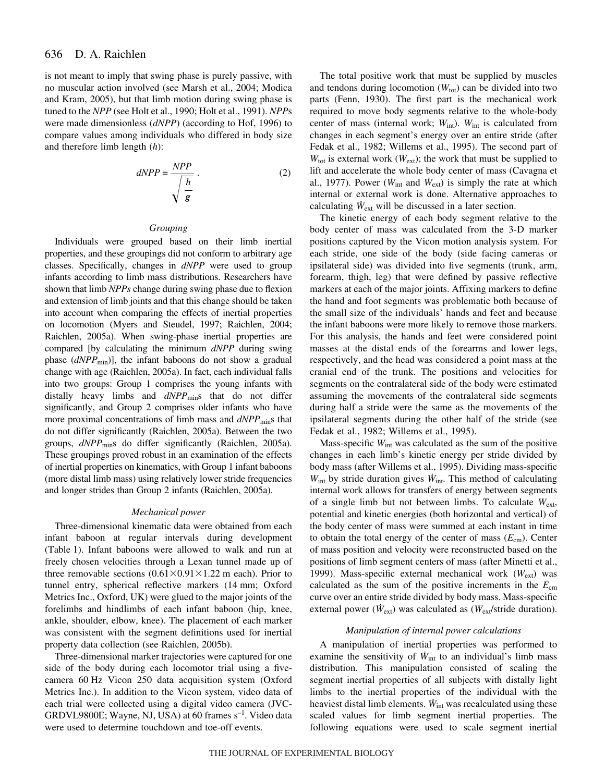#### 636 D. A. Raichlen

is not meant to imply that swing phase is purely passive, with no muscular action involved (see Marsh et al., 2004; Modica and Kram, 2005), but that limb motion during swing phase is tuned to the *NPP* (see Holt et al., 1990; Holt et al., 1991). *NPP*s were made dimensionless (*dNPP*) (according to Hof, 1996) to compare values among individuals who differed in body size and therefore limb length (*h*):

$$
dNPP = \frac{NPP}{\sqrt{\frac{h}{g}}} \tag{2}
$$

### *Grouping*

Individuals were grouped based on their limb inertial properties, and these groupings did not conform to arbitrary age classes. Specifically, changes in *dNPP* were used to group infants according to limb mass distributions. Researchers have shown that limb *NPPs* change during swing phase due to flexion and extension of limb joints and that this change should be taken into account when comparing the effects of inertial properties on locomotion (Myers and Steudel, 1997; Raichlen, 2004; Raichlen, 2005a). When swing-phase inertial properties are compared [by calculating the minimum *dNPP* during swing phase (*dNPP*<sub>min</sub>)], the infant baboons do not show a gradual change with age (Raichlen, 2005a). In fact, each individual falls into two groups: Group 1 comprises the young infants with distally heavy limbs and  $dNPP_{\text{min}}$ s that do not differ significantly, and Group 2 comprises older infants who have more proximal concentrations of limb mass and  $dNPP_{min}$ s that do not differ significantly (Raichlen, 2005a). Between the two groups, *dNPP*<sub>min</sub>s do differ significantly (Raichlen, 2005a). These groupings proved robust in an examination of the effects of inertial properties on kinematics, with Group 1 infant baboons (more distal limb mass) using relatively lower stride frequencies and longer strides than Group 2 infants (Raichlen, 2005a).

#### *Mechanical power*

Three-dimensional kinematic data were obtained from each infant baboon at regular intervals during development (Table 1). Infant baboons were allowed to walk and run at freely chosen velocities through a Lexan tunnel made up of three removable sections  $(0.61\times0.91\times1.22$  m each). Prior to tunnel entry, spherical reflective markers (14 mm; Oxford Metrics Inc., Oxford, UK) were glued to the major joints of the forelimbs and hindlimbs of each infant baboon (hip, knee, ankle, shoulder, elbow, knee). The placement of each marker was consistent with the segment definitions used for inertial property data collection (see Raichlen, 2005b).

Three-dimensional marker trajectories were captured for one side of the body during each locomotor trial using a fivecamera 60 Hz Vicon 250 data acquisition system (Oxford Metrics Inc.). In addition to the Vicon system, video data of each trial were collected using a digital video camera (JVC-GRDVL9800E; Wayne, NJ, USA) at 60 frames  $s^{-1}$ . Video data were used to determine touchdown and toe-off events.

The total positive work that must be supplied by muscles and tendons during locomotion  $(W_{\text{tot}})$  can be divided into two parts (Fenn, 1930). The first part is the mechanical work required to move body segments relative to the whole-body center of mass (internal work;  $W_{int}$ ).  $W_{int}$  is calculated from changes in each segment's energy over an entire stride (after Fedak et al., 1982; Willems et al., 1995). The second part of  $W_{\text{tot}}$  is external work ( $W_{\text{ext}}$ ); the work that must be supplied to lift and accelerate the whole body center of mass (Cavagna et al., 1977). Power ( $\dot{W}_{int}$  and  $\dot{W}_{ext}$ ) is simply the rate at which internal or external work is done. Alternative approaches to calculating  $W_{ext}$  will be discussed in a later section.

The kinetic energy of each body segment relative to the body center of mass was calculated from the 3-D marker positions captured by the Vicon motion analysis system. For each stride, one side of the body (side facing cameras or ipsilateral side) was divided into five segments (trunk, arm, forearm, thigh, leg) that were defined by passive reflective markers at each of the major joints. Affixing markers to define the hand and foot segments was problematic both because of the small size of the individuals' hands and feet and because the infant baboons were more likely to remove those markers. For this analysis, the hands and feet were considered point masses at the distal ends of the forearms and lower legs, respectively, and the head was considered a point mass at the cranial end of the trunk. The positions and velocities for segments on the contralateral side of the body were estimated assuming the movements of the contralateral side segments during half a stride were the same as the movements of the ipsilateral segments during the other half of the stride (see Fedak et al., 1982; Willems et al., 1995).

Mass-specific *W*int was calculated as the sum of the positive changes in each limb's kinetic energy per stride divided by body mass (after Willems et al., 1995). Dividing mass-specific *W*int by stride duration gives *W*int. This method of calculating internal work allows for transfers of energy between segments of a single limb but not between limbs. To calculate *W*ext, potential and kinetic energies (both horizontal and vertical) of the body center of mass were summed at each instant in time to obtain the total energy of the center of mass (*E*cm). Center of mass position and velocity were reconstructed based on the positions of limb segment centers of mass (after Minetti et al., 1999). Mass-specific external mechanical work (*W*ext) was calculated as the sum of the positive increments in the *E*cm curve over an entire stride divided by body mass. Mass-specific external power ( $\dot{W}_{ext}$ ) was calculated as ( $W_{ext}/$ stride duration).

### *Manipulation of internal power calculations*

A manipulation of inertial properties was performed to examine the sensitivity of  $W_{int}$  to an individual's limb mass distribution. This manipulation consisted of scaling the segment inertial properties of all subjects with distally light limbs to the inertial properties of the individual with the heaviest distal limb elements.  $W_{int}$  was recalculated using these scaled values for limb segment inertial properties. The following equations were used to scale segment inertial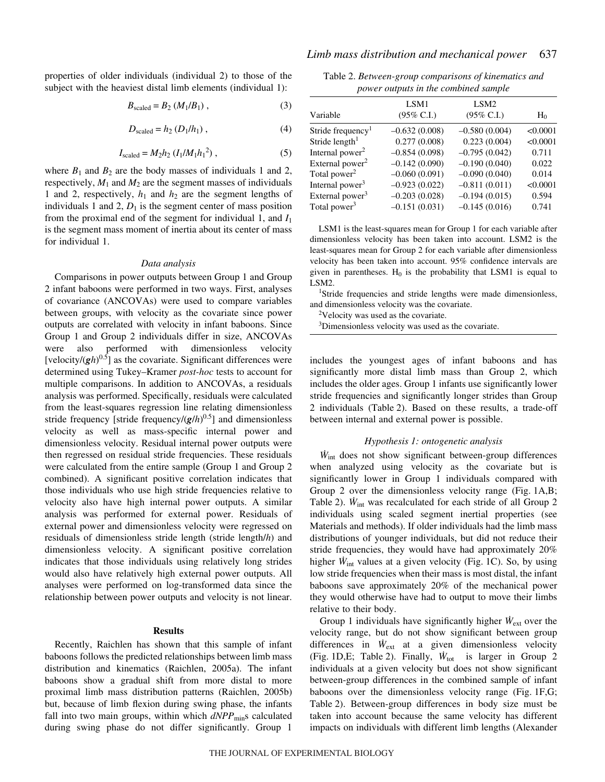properties of older individuals (individual 2) to those of the subject with the heaviest distal limb elements (individual 1):

$$
B_{\text{scaled}} = B_2 \left( M_1 / B_1 \right), \tag{3}
$$

$$
D_{\text{scaled}} = h_2 \left( D_1 / h_1 \right), \tag{4}
$$

$$
I_{\text{scaled}} = M_2 h_2 \left( I_1 / M_1 h_1{}^2 \right),\tag{5}
$$

where  $B_1$  and  $B_2$  are the body masses of individuals 1 and 2, respectively,  $M_1$  and  $M_2$  are the segment masses of individuals 1 and 2, respectively, *h*<sup>1</sup> and *h*<sup>2</sup> are the segment lengths of individuals 1 and 2,  $D_1$  is the segment center of mass position from the proximal end of the segment for individual 1, and *I*<sup>1</sup> is the segment mass moment of inertia about its center of mass for individual 1.

#### *Data analysis*

Comparisons in power outputs between Group 1 and Group 2 infant baboons were performed in two ways. First, analyses of covariance (ANCOVAs) were used to compare variables between groups, with velocity as the covariate since power outputs are correlated with velocity in infant baboons. Since Group 1 and Group 2 individuals differ in size, ANCOVAs were also performed with dimensionless velocity [velocity/ $(gh)^{0.5}$ ] as the covariate. Significant differences were determined using Tukey–Kramer *post-hoc* tests to account for multiple comparisons. In addition to ANCOVAs, a residuals analysis was performed. Specifically, residuals were calculated from the least-squares regression line relating dimensionless stride frequency [stride frequency/(*g*/*h*) 0.5] and dimensionless velocity as well as mass-specific internal power and dimensionless velocity. Residual internal power outputs were then regressed on residual stride frequencies. These residuals were calculated from the entire sample (Group 1 and Group 2 combined). A significant positive correlation indicates that those individuals who use high stride frequencies relative to velocity also have high internal power outputs. A similar analysis was performed for external power. Residuals of external power and dimensionless velocity were regressed on residuals of dimensionless stride length (stride length/*h*) and dimensionless velocity. A significant positive correlation indicates that those individuals using relatively long strides would also have relatively high external power outputs. All analyses were performed on log-transformed data since the relationship between power outputs and velocity is not linear.

#### **Results**

Recently, Raichlen has shown that this sample of infant baboons follows the predicted relationships between limb mass distribution and kinematics (Raichlen, 2005a). The infant baboons show a gradual shift from more distal to more proximal limb mass distribution patterns (Raichlen, 2005b) but, because of limb flexion during swing phase, the infants fall into two main groups, within which  $dNPP_{\text{min}}$ s calculated during swing phase do not differ significantly. Group 1

Table 2. *Between-group comparisons of kinematics and power outputs in the combined sample*

|                               | LSM1                  | LSM <sub>2</sub>      |          |
|-------------------------------|-----------------------|-----------------------|----------|
| Variable                      | $(95\% \text{ C.I.})$ | $(95\% \text{ C.I.})$ | $H_0$    |
| Stride frequency <sup>1</sup> | $-0.632(0.008)$       | $-0.580(0.004)$       | < 0.0001 |
| Stride length <sup>1</sup>    | 0.277(0.008)          | 0.223(0.004)          | < 0.0001 |
| Internal power <sup>2</sup>   | $-0.854(0.098)$       | $-0.795(0.042)$       | 0.711    |
| External power <sup>2</sup>   | $-0.142(0.090)$       | $-0.190(0.040)$       | 0.022    |
| Total power <sup>2</sup>      | $-0.060(0.091)$       | $-0.090(0.040)$       | 0.014    |
| Internal power <sup>3</sup>   | $-0.923(0.022)$       | $-0.811(0.011)$       | < 0.0001 |
| External power <sup>3</sup>   | $-0.203(0.028)$       | $-0.194(0.015)$       | 0.594    |
| Total power <sup>3</sup>      | $-0.151(0.031)$       | $-0.145(0.016)$       | 0.741    |

LSM1 is the least-squares mean for Group 1 for each variable after dimensionless velocity has been taken into account. LSM2 is the least-squares mean for Group 2 for each variable after dimensionless velocity has been taken into account. 95% confidence intervals are given in parentheses.  $H_0$  is the probability that LSM1 is equal to  $LSM2.$ 

<sup>1</sup>Stride frequencies and stride lengths were made dimensionless, and dimensionless velocity was the covariate.

<sup>2</sup>Velocity was used as the covariate.

<sup>3</sup>Dimensionless velocity was used as the covariate.

includes the youngest ages of infant baboons and has significantly more distal limb mass than Group 2, which includes the older ages. Group 1 infants use significantly lower stride frequencies and significantly longer strides than Group 2 individuals (Table 2). Based on these results, a trade-off between internal and external power is possible.

#### *Hypothesis 1: ontogenetic analysis*

*W*int does not show significant between-group differences when analyzed using velocity as the covariate but is significantly lower in Group 1 individuals compared with Group 2 over the dimensionless velocity range (Fig.  $1A,B$ ; Table 2).  $W_{\text{int}}$  was recalculated for each stride of all Group 2 individuals using scaled segment inertial properties (see Materials and methods). If older individuals had the limb mass distributions of younger individuals, but did not reduce their stride frequencies, they would have had approximately 20% higher  $\dot{W}_{int}$  values at a given velocity (Fig. 1C). So, by using low stride frequencies when their mass is most distal, the infant baboons save approximately 20% of the mechanical power they would otherwise have had to output to move their limbs relative to their body.

Group 1 individuals have significantly higher  $\dot{W}_{ext}$  over the velocity range, but do not show significant between group differences in  $\dot{W}_{ext}$  at a given dimensionless velocity (Fig. 1D, E; Table 2). Finally,  $\dot{W}_{\text{tot}}$  is larger in Group 2 individuals at a given velocity but does not show significant between-group differences in the combined sample of infant baboons over the dimensionless velocity range (Fig.  $1F, G$ ; Table 2). Between-group differences in body size must be taken into account because the same velocity has different impacts on individuals with different limb lengths (Alexander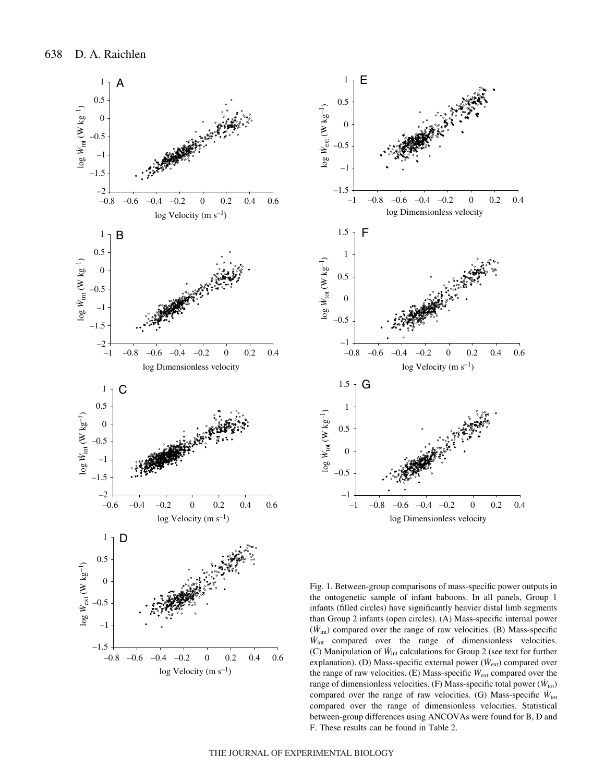



Fig. 1. Between-group comparisons of mass-specific power outputs in the ontogenetic sample of infant baboons. In all panels, Group 1 infants (filled circles) have significantly heavier distal limb segments than Group 2 infants (open circles). (A) Mass-specific internal power (*W*int) compared over the range of raw velocities. (B) Mass-specific *W*int compared over the range of dimensionless velocities. (C) Manipulation of *W*int calculations for Group 2 (see text for further explanation). (D) Mass-specific external power ( $\dot{W}_{ext}$ ) compared over the range of raw velocities. (E) Mass-specific *W*ext compared over the range of dimensionless velocities. (F) Mass-specific total power ( $\dot{W}_{\text{tot}}$ ) compared over the range of raw velocities. (G) Mass-specific *W*tot compared over the range of dimensionless velocities. Statistical between-group differences using ANCOVAs were found for B, D and F. These results can be found in Table 2.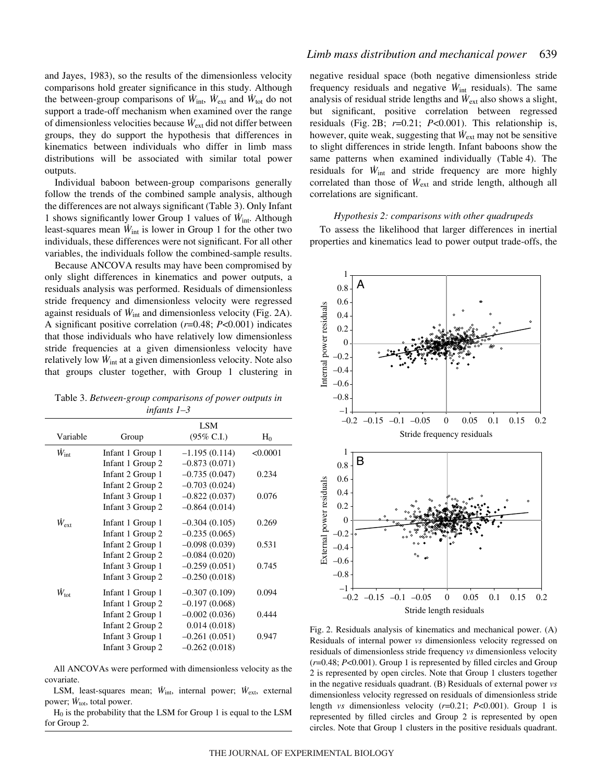and Jayes, 1983), so the results of the dimensionless velocity comparisons hold greater significance in this study. Although the between-group comparisons of  $W_{\text{int}}$ ,  $W_{\text{ext}}$  and  $W_{\text{tot}}$  do not support a trade-off mechanism when examined over the range of dimensionless velocities because *W*ext did not differ between groups, they do support the hypothesis that differences in kinematics between individuals who differ in limb mass distributions will be associated with similar total power outputs.

Individual baboon between-group comparisons generally follow the trends of the combined sample analysis, although the differences are not always significant (Table 3). Only Infant 1 shows significantly lower Group 1 values of *W*int. Although least-squares mean  $W_{int}$  is lower in Group 1 for the other two individuals, these differences were not significant. For all other variables, the individuals follow the combined-sample results.

Because ANCOVA results may have been compromised by only slight differences in kinematics and power outputs, a residuals analysis was performed. Residuals of dimensionless stride frequency and dimensionless velocity were regressed against residuals of  $W_{int}$  and dimensionless velocity (Fig. 2A). A significant positive correlation (*r*=0.48; *P*<0.001) indicates that those individuals who have relatively low dimensionless stride frequencies at a given dimensionless velocity have relatively low *W*int at a given dimensionless velocity. Note also that groups cluster together, with Group 1 clustering in

Table 3. *Between-group comparisons of power outputs in infants 1–3*

|                     |                  | LSM                   |          |
|---------------------|------------------|-----------------------|----------|
| Variable            | Group            | $(95\% \text{ C.I.})$ | $H_0$    |
| $W_{\rm int}$       | Infant 1 Group 1 | $-1.195(0.114)$       | < 0.0001 |
|                     | Infant 1 Group 2 | $-0.873(0.071)$       |          |
|                     | Infant 2 Group 1 | $-0.735(0.047)$       | 0.234    |
|                     | Infant 2 Group 2 | $-0.703(0.024)$       |          |
|                     | Infant 3 Group 1 | $-0.822(0.037)$       | 0.076    |
|                     | Infant 3 Group 2 | $-0.864(0.014)$       |          |
| $\dot{W}_{\rm ext}$ | Infant 1 Group 1 | $-0.304(0.105)$       | 0.269    |
|                     | Infant 1 Group 2 | $-0.235(0.065)$       |          |
|                     | Infant 2 Group 1 | $-0.098(0.039)$       | 0.531    |
|                     | Infant 2 Group 2 | $-0.084(0.020)$       |          |
|                     | Infant 3 Group 1 | $-0.259(0.051)$       | 0.745    |
|                     | Infant 3 Group 2 | $-0.250(0.018)$       |          |
| $\dot{W}_{\rm tot}$ | Infant 1 Group 1 | $-0.307(0.109)$       | 0.094    |
|                     | Infant 1 Group 2 | $-0.197(0.068)$       |          |
|                     | Infant 2 Group 1 | $-0.002(0.036)$       | 0.444    |
|                     | Infant 2 Group 2 | 0.014(0.018)          |          |
|                     | Infant 3 Group 1 | $-0.261(0.051)$       | 0.947    |
|                     | Infant 3 Group 2 | $-0.262(0.018)$       |          |

All ANCOVAs were performed with dimensionless velocity as the covariate.

LSM, least-squares mean;  $\dot{W}_{\text{int}}$ , internal power;  $\dot{W}_{\text{ext}}$ , external power;  $\dot{W}_{\text{tot}}$ , total power.

 $H_0$  is the probability that the LSM for Group 1 is equal to the LSM for Group 2.

# *Limb mass distribution and mechanical power* 639

negative residual space (both negative dimensionless stride frequency residuals and negative  $\dot{W}_{int}$  residuals). The same analysis of residual stride lengths and  $\dot{W}_{ext}$  also shows a slight, but significant, positive correlation between regressed residuals (Fig. 2B;  $r=0.21$ ;  $P<0.001$ ). This relationship is, however, quite weak, suggesting that  $W_{ext}$  may not be sensitive to slight differences in stride length. Infant baboons show the same patterns when examined individually (Table 4). The residuals for  $\dot{W}_{int}$  and stride frequency are more highly correlated than those of *W*ext and stride length, although all correlations are significant.

# *Hypothesis 2: comparisons with other quadrupeds*

To assess the likelihood that larger differences in inertial properties and kinematics lead to power output trade-offs, the



Fig. 2. Residuals analysis of kinematics and mechanical power. (A) Residuals of internal power *vs* dimensionless velocity regressed on residuals of dimensionless stride frequency *vs* dimensionless velocity (*r*=0.48; *P*<0.001). Group 1 is represented by filled circles and Group 2 is represented by open circles. Note that Group 1 clusters together in the negative residuals quadrant. (B) Residuals of external power *vs* dimensionless velocity regressed on residuals of dimensionless stride length *vs* dimensionless velocity (*r*=0.21; *P*<0.001). Group 1 is represented by filled circles and Group 2 is represented by open circles. Note that Group 1 clusters in the positive residuals quadrant.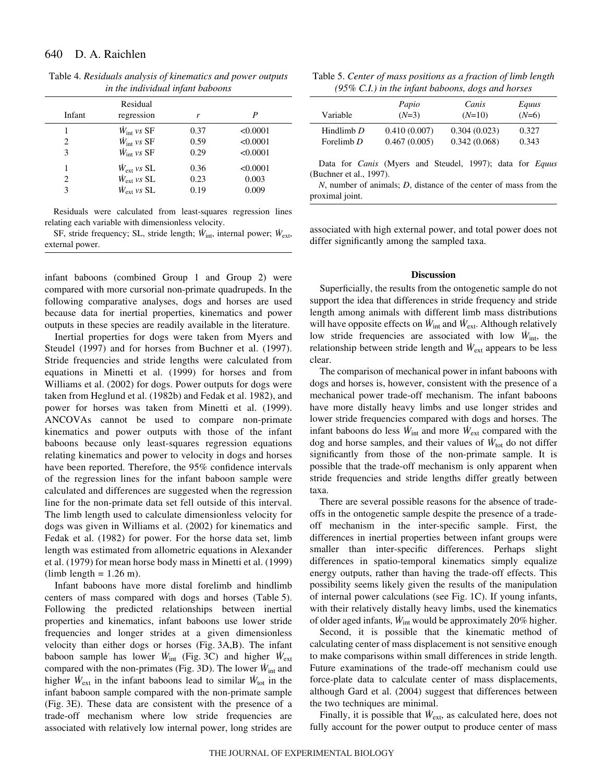| Infant | Residual<br>regression       | r    | P        |
|--------|------------------------------|------|----------|
| 1      | $W_{\text{int}}$ vs SF       | 0.37 | < 0.0001 |
| 2      | $\dot{W}_{\text{int}}$ vs SF | 0.59 | < 0.0001 |
| 3      | $\dot{W}_{\text{int}}$ vs SF | 0.29 | < 0.0001 |
| 1      | $W_{\rm ext}$ vs SL          | 0.36 | < 0.0001 |
| 2      | $W_{\rm ext}$ vs SL          | 0.23 | 0.003    |
| 3      | $\dot{W}_{ext}$ vs SL        | 0.19 | 0.009    |
|        |                              |      |          |

Table 4. *Residuals analysis of kinematics and power outputs in the individual infant baboons*

Residuals were calculated from least-squares regression lines relating each variable with dimensionless velocity.

SF, stride frequency; SL, stride length; *W*int, internal power; *W*ext, external power.

infant baboons (combined Group 1 and Group 2) were compared with more cursorial non-primate quadrupeds. In the following comparative analyses, dogs and horses are used because data for inertial properties, kinematics and power outputs in these species are readily available in the literature.

Inertial properties for dogs were taken from Myers and Steudel (1997) and for horses from Buchner et al. (1997). Stride frequencies and stride lengths were calculated from equations in Minetti et al. (1999) for horses and from Williams et al. (2002) for dogs. Power outputs for dogs were taken from Heglund et al. (1982b) and Fedak et al. 1982), and power for horses was taken from Minetti et al. (1999). ANCOVAs cannot be used to compare non-primate kinematics and power outputs with those of the infant baboons because only least-squares regression equations relating kinematics and power to velocity in dogs and horses have been reported. Therefore, the 95% confidence intervals of the regression lines for the infant baboon sample were calculated and differences are suggested when the regression line for the non-primate data set fell outside of this interval. The limb length used to calculate dimensionless velocity for dogs was given in Williams et al. (2002) for kinematics and Fedak et al. (1982) for power. For the horse data set, limb length was estimated from allometric equations in Alexander et al. (1979) for mean horse body mass in Minetti et al. (1999)  $(limb length = 1.26 m).$ 

Infant baboons have more distal forelimb and hindlimb centers of mass compared with dogs and horses (Table 5). Following the predicted relationships between inertial properties and kinematics, infant baboons use lower stride frequencies and longer strides at a given dimensionless velocity than either dogs or horses (Fig. 3A,B). The infant baboon sample has lower  $\dot{W}_{int}$  (Fig. 3C) and higher  $\dot{W}_{ext}$ compared with the non-primates (Fig. 3D). The lower  $\dot{W}_{int}$  and higher  $\dot{W}_{ext}$  in the infant baboons lead to similar  $\dot{W}_{tot}$  in the infant baboon sample compared with the non-primate sample (Fig. 3E). These data are consistent with the presence of a trade-off mechanism where low stride frequencies are associated with relatively low internal power, long strides are

Table 5. *Center of mass positions as a fraction of limb length (95% C.I.) in the infant baboons, dogs and horses*

| Variable                   | Papio<br>$(N=3)$             | Canis<br>$(N=10)$            | Equus<br>$(N=6)$ |  |
|----------------------------|------------------------------|------------------------------|------------------|--|
| Hindlimb $D$<br>Forelimb D | 0.410(0.007)<br>0.467(0.005) | 0.304(0.023)<br>0.342(0.068) | 0.327<br>0.343   |  |
|                            |                              |                              |                  |  |

Data for *Canis* (Myers and Steudel, 1997); data for *Equus* (Buchner et al., 1997).

*N*, number of animals; *D*, distance of the center of mass from the proximal joint.

associated with high external power, and total power does not differ significantly among the sampled taxa.

### **Discussion**

Superficially, the results from the ontogenetic sample do not support the idea that differences in stride frequency and stride length among animals with different limb mass distributions will have opposite effects on  $W_{int}$  and  $W_{ext}$ . Although relatively low stride frequencies are associated with low *W*int, the relationship between stride length and  $\dot{W}_{ext}$  appears to be less clear.

The comparison of mechanical power in infant baboons with dogs and horses is, however, consistent with the presence of a mechanical power trade-off mechanism. The infant baboons have more distally heavy limbs and use longer strides and lower stride frequencies compared with dogs and horses. The infant baboons do less  $\dot{W}_{int}$  and more  $\dot{W}_{ext}$  compared with the dog and horse samples, and their values of  $W_{\text{tot}}$  do not differ significantly from those of the non-primate sample. It is possible that the trade-off mechanism is only apparent when stride frequencies and stride lengths differ greatly between taxa.

There are several possible reasons for the absence of tradeoffs in the ontogenetic sample despite the presence of a tradeoff mechanism in the inter-specific sample. First, the differences in inertial properties between infant groups were smaller than inter-specific differences. Perhaps slight differences in spatio-temporal kinematics simply equalize energy outputs, rather than having the trade-off effects. This possibility seems likely given the results of the manipulation of internal power calculations (see Fig. 1C). If young infants, with their relatively distally heavy limbs, used the kinematics of older aged infants,  $\dot{W}_{int}$  would be approximately 20% higher.

Second, it is possible that the kinematic method of calculating center of mass displacement is not sensitive enough to make comparisons within small differences in stride length. Future examinations of the trade-off mechanism could use force-plate data to calculate center of mass displacements, although Gard et al. (2004) suggest that differences between the two techniques are minimal.

Finally, it is possible that  $W_{ext}$ , as calculated here, does not fully account for the power output to produce center of mass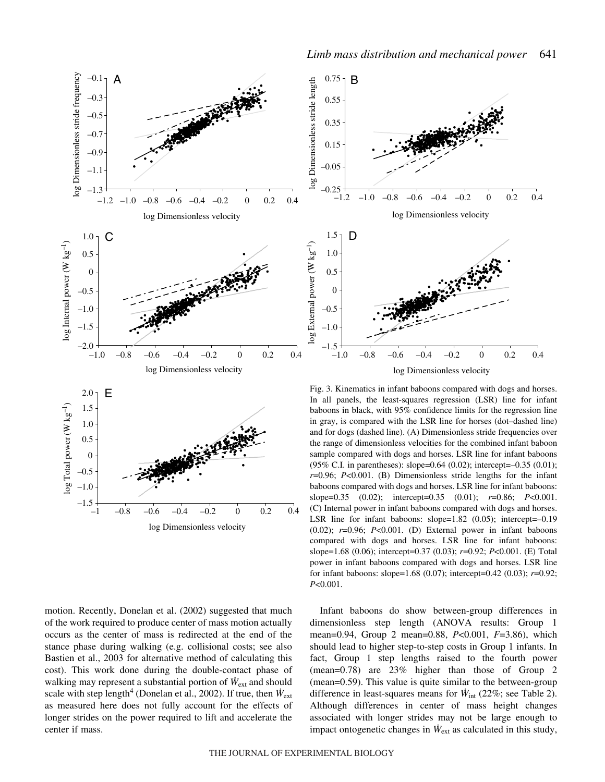

motion. Recently, Donelan et al. (2002) suggested that much of the work required to produce center of mass motion actually occurs as the center of mass is redirected at the end of the stance phase during walking (e.g. collisional costs; see also Bastien et al., 2003 for alternative method of calculating this cost). This work done during the double-contact phase of walking may represent a substantial portion of  $W_{ext}$  and should scale with step length<sup>4</sup> (Donelan et al., 2002). If true, then  $\dot{W}_{ext}$ as measured here does not fully account for the effects of longer strides on the power required to lift and accelerate the center if mass.

log Dimensionless velocity

 $-1$   $-0.8$   $-0.6$   $-0.4$   $-0.2$  0 0.2 0.4



Fig. 3. Kinematics in infant baboons compared with dogs and horses. In all panels, the least-squares regression (LSR) line for infant baboons in black, with 95% confidence limits for the regression line in gray, is compared with the LSR line for horses (dot–dashed line) and for dogs (dashed line). (A) Dimensionless stride frequencies over the range of dimensionless velocities for the combined infant baboon sample compared with dogs and horses. LSR line for infant baboons (95% C.I. in parentheses): slope=0.64 (0.02); intercept=–0.35 (0.01); *r*=0.96; *P*<0.001. (B) Dimensionless stride lengths for the infant baboons compared with dogs and horses. LSR line for infant baboons: slope=0.35 (0.02); intercept=0.35 (0.01); *r*=0.86; *P*<0.001. (C) Internal power in infant baboons compared with dogs and horses. LSR line for infant baboons: slope=1.82 (0.05); intercept=–0.19 (0.02); *r*=0.96; *P*<0.001. (D) External power in infant baboons compared with dogs and horses. LSR line for infant baboons: slope=1.68 (0.06); intercept=0.37 (0.03); *r*=0.92; *P*<0.001. (E) Total power in infant baboons compared with dogs and horses. LSR line for infant baboons: slope=1.68 (0.07); intercept=0.42 (0.03); *r*=0.92; *P*<0.001.

Infant baboons do show between-group differences in dimensionless step length (ANOVA results: Group 1 mean=0.94, Group 2 mean=0.88, *P*<0.001, *F*=3.86), which should lead to higher step-to-step costs in Group 1 infants. In fact, Group 1 step lengths raised to the fourth power (mean=0.78) are 23% higher than those of Group 2 (mean=0.59). This value is quite similar to the between-group difference in least-squares means for  $\dot{W}_{int}$  (22%; see Table 2). Although differences in center of mass height changes associated with longer strides may not be large enough to impact ontogenetic changes in  $\dot{W}_{ext}$  as calculated in this study,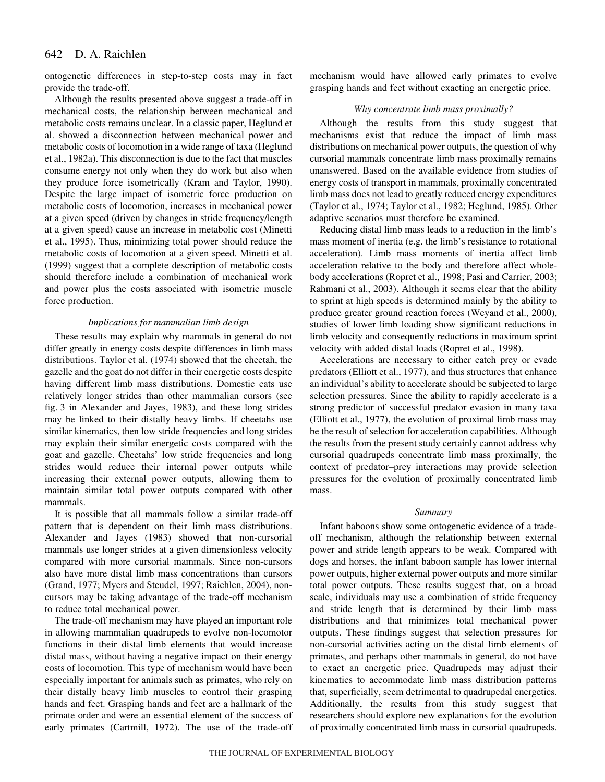#### 642 D. A. Raichlen

ontogenetic differences in step-to-step costs may in fact provide the trade-off.

Although the results presented above suggest a trade-off in mechanical costs, the relationship between mechanical and metabolic costs remains unclear. In a classic paper, Heglund et al. showed a disconnection between mechanical power and metabolic costs of locomotion in a wide range of taxa (Heglund et al., 1982a). This disconnection is due to the fact that muscles consume energy not only when they do work but also when they produce force isometrically (Kram and Taylor, 1990). Despite the large impact of isometric force production on metabolic costs of locomotion, increases in mechanical power at a given speed (driven by changes in stride frequency/length at a given speed) cause an increase in metabolic cost (Minetti et al., 1995). Thus, minimizing total power should reduce the metabolic costs of locomotion at a given speed. Minetti et al. (1999) suggest that a complete description of metabolic costs should therefore include a combination of mechanical work and power plus the costs associated with isometric muscle force production.

### *Implications for mammalian limb design*

These results may explain why mammals in general do not differ greatly in energy costs despite differences in limb mass distributions. Taylor et al. (1974) showed that the cheetah, the gazelle and the goat do not differ in their energetic costs despite having different limb mass distributions. Domestic cats use relatively longer strides than other mammalian cursors (see fig. 3 in Alexander and Jayes, 1983), and these long strides may be linked to their distally heavy limbs. If cheetahs use similar kinematics, then low stride frequencies and long strides may explain their similar energetic costs compared with the goat and gazelle. Cheetahs' low stride frequencies and long strides would reduce their internal power outputs while increasing their external power outputs, allowing them to maintain similar total power outputs compared with other mammals.

It is possible that all mammals follow a similar trade-off pattern that is dependent on their limb mass distributions. Alexander and Jayes (1983) showed that non-cursorial mammals use longer strides at a given dimensionless velocity compared with more cursorial mammals. Since non-cursors also have more distal limb mass concentrations than cursors (Grand, 1977; Myers and Steudel, 1997; Raichlen, 2004), noncursors may be taking advantage of the trade-off mechanism to reduce total mechanical power.

The trade-off mechanism may have played an important role in allowing mammalian quadrupeds to evolve non-locomotor functions in their distal limb elements that would increase distal mass, without having a negative impact on their energy costs of locomotion. This type of mechanism would have been especially important for animals such as primates, who rely on their distally heavy limb muscles to control their grasping hands and feet. Grasping hands and feet are a hallmark of the primate order and were an essential element of the success of early primates (Cartmill, 1972). The use of the trade-off mechanism would have allowed early primates to evolve grasping hands and feet without exacting an energetic price.

## *Why concentrate limb mass proximally?*

Although the results from this study suggest that mechanisms exist that reduce the impact of limb mass distributions on mechanical power outputs, the question of why cursorial mammals concentrate limb mass proximally remains unanswered. Based on the available evidence from studies of energy costs of transport in mammals, proximally concentrated limb mass does not lead to greatly reduced energy expenditures (Taylor et al., 1974; Taylor et al., 1982; Heglund, 1985). Other adaptive scenarios must therefore be examined.

Reducing distal limb mass leads to a reduction in the limb's mass moment of inertia (e.g. the limb's resistance to rotational acceleration). Limb mass moments of inertia affect limb acceleration relative to the body and therefore affect wholebody accelerations (Ropret et al., 1998; Pasi and Carrier, 2003; Rahmani et al., 2003). Although it seems clear that the ability to sprint at high speeds is determined mainly by the ability to produce greater ground reaction forces (Weyand et al., 2000), studies of lower limb loading show significant reductions in limb velocity and consequently reductions in maximum sprint velocity with added distal loads (Ropret et al., 1998).

Accelerations are necessary to either catch prey or evade predators (Elliott et al., 1977), and thus structures that enhance an individual's ability to accelerate should be subjected to large selection pressures. Since the ability to rapidly accelerate is a strong predictor of successful predator evasion in many taxa (Elliott et al., 1977), the evolution of proximal limb mass may be the result of selection for acceleration capabilities. Although the results from the present study certainly cannot address why cursorial quadrupeds concentrate limb mass proximally, the context of predator–prey interactions may provide selection pressures for the evolution of proximally concentrated limb mass.

#### *Summary*

Infant baboons show some ontogenetic evidence of a tradeoff mechanism, although the relationship between external power and stride length appears to be weak. Compared with dogs and horses, the infant baboon sample has lower internal power outputs, higher external power outputs and more similar total power outputs. These results suggest that, on a broad scale, individuals may use a combination of stride frequency and stride length that is determined by their limb mass distributions and that minimizes total mechanical power outputs. These findings suggest that selection pressures for non-cursorial activities acting on the distal limb elements of primates, and perhaps other mammals in general, do not have to exact an energetic price. Quadrupeds may adjust their kinematics to accommodate limb mass distribution patterns that, superficially, seem detrimental to quadrupedal energetics. Additionally, the results from this study suggest that researchers should explore new explanations for the evolution of proximally concentrated limb mass in cursorial quadrupeds.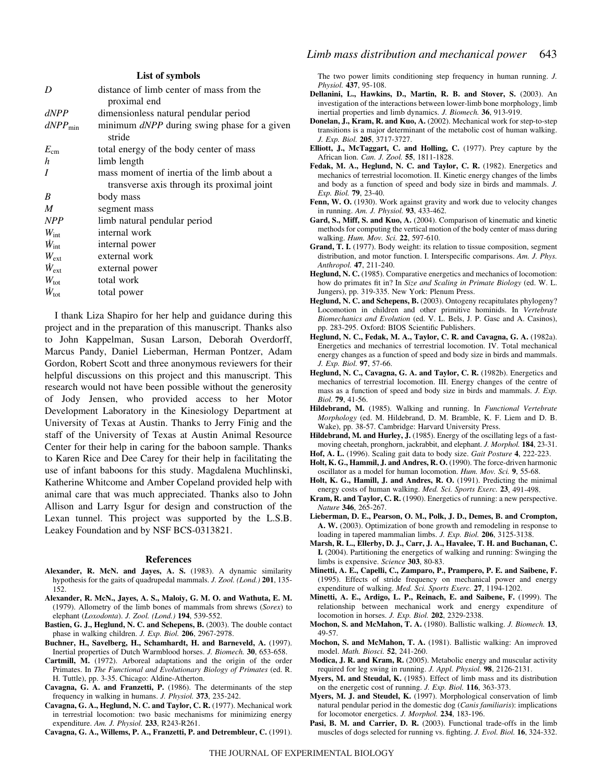|                          | List of symbols                             |
|--------------------------|---------------------------------------------|
| D                        | distance of limb center of mass from the    |
|                          | proximal end                                |
| dNPP                     | dimensionless natural pendular period       |
| $dNPP_{\min}$            | minimum dNPP during swing phase for a given |
|                          | stride                                      |
| $E_{\rm cm}$             | total energy of the body center of mass     |
| h                        | limb length                                 |
| I                        | mass moment of inertia of the limb about a  |
|                          | transverse axis through its proximal joint  |
| B                        | body mass                                   |
| M                        | segment mass                                |
| <b>NPP</b>               | limb natural pendular period                |
| $W_{\text{int}}$         | internal work                               |
| $\dot{W}_{\textrm{int}}$ | internal power                              |
| $W_{\text{ext}}$         | external work                               |
| $\dot{W}_{\rm ext}$      | external power                              |
| $W_{\text{tot}}$         | total work                                  |
| $\dot{W}_{\rm tot}$      | total power                                 |
|                          |                                             |

I thank Liza Shapiro for her help and guidance during this project and in the preparation of this manuscript. Thanks also to John Kappelman, Susan Larson, Deborah Overdorff, Marcus Pandy, Daniel Lieberman, Herman Pontzer, Adam Gordon, Robert Scott and three anonymous reviewers for their helpful discussions on this project and this manuscript. This research would not have been possible without the generosity of Jody Jensen, who provided access to her Motor Development Laboratory in the Kinesiology Department at University of Texas at Austin. Thanks to Jerry Finig and the staff of the University of Texas at Austin Animal Resource Center for their help in caring for the baboon sample. Thanks to Karen Rice and Dee Carey for their help in facilitating the use of infant baboons for this study. Magdalena Muchlinski, Katherine Whitcome and Amber Copeland provided help with animal care that was much appreciated. Thanks also to John Allison and Larry Isgur for design and construction of the Lexan tunnel. This project was supported by the L.S.B. Leakey Foundation and by NSF BCS-0313821.

#### **References**

- **Alexander, R. McN. and Jayes, A. S.** (1983). A dynamic similarity hypothesis for the gaits of quadrupedal mammals. *J. Zool. (Lond.)* **201**, 135- 152.
- **Alexander, R. McN., Jayes, A. S., Maloiy, G. M. O. and Wathuta, E. M.** (1979). Allometry of the limb bones of mammals from shrews (*Sorex*) to elephant (*Loxodonta*). *J. Zool. (Lond.)* **194**, 539-552.
- **Bastien, G. J., Heglund, N. C. and Schepens, B.** (2003). The double contact phase in walking children. *J. Exp. Biol.* **206**, 2967-2978.
- **Buchner, H., Savelberg, H., Schamhardt, H. and Barneveld, A.** (1997). Inertial properties of Dutch Warmblood horses. *J. Biomech.* **30**, 653-658.
- **Cartmill, M.** (1972). Arboreal adaptations and the origin of the order Primates. In *The Functional and Evolutionary Biology of Primates* (ed. R. H. Tuttle), pp. 3-35. Chicago: Aldine-Atherton.
- **Cavagna, G. A. and Franzetti, P.** (1986). The determinants of the step frequency in walking in humans. *J. Physiol.* **373**, 235-242.
- **Cavagna, G. A., Heglund, N. C. and Taylor, C. R.** (1977). Mechanical work in terrestrial locomotion: two basic mechanisms for minimizing energy expenditure. *Am. J. Physiol.* **233**, R243-R261.

**Cavagna, G. A., Willems, P. A., Franzetti, P. and Detrembleur, C.** (1991).

The two power limits conditioning step frequency in human running. *J. Physiol.* **437**, 95-108.

- **Dellanini, L., Hawkins, D., Martin, R. B. and Stover, S.** (2003). An investigation of the interactions between lower-limb bone morphology, limb inertial properties and limb dynamics. *J. Biomech.* **36**, 913-919.
- **Donelan, J., Kram, R. and Kuo, A.** (2002). Mechanical work for step-to-step transitions is a major determinant of the metabolic cost of human walking. *J. Exp. Biol.* **205**, 3717-3727.
- **Elliott, J., McTaggart, C. and Holling, C.** (1977). Prey capture by the African lion. *Can. J. Zool.* **55**, 1811-1828.
- **Fedak, M. A., Heglund, N. C. and Taylor, C. R.** (1982). Energetics and mechanics of terrestrial locomotion. II. Kinetic energy changes of the limbs and body as a function of speed and body size in birds and mammals. *J. Exp. Biol.* **79**, 23-40.
- Fenn, W. O. (1930). Work against gravity and work due to velocity changes in running. *Am. J. Physiol.* **93**, 433-462.
- **Gard, S., Miff, S. and Kuo, A.** (2004). Comparison of kinematic and kinetic methods for computing the vertical motion of the body center of mass during walking. *Hum. Mov. Sci.* **22**, 597-610.
- **Grand, T. I.** (1977). Body weight: its relation to tissue composition, segment distribution, and motor function. I. Interspecific comparisons. *Am. J. Phys. Anthropol.* **47**, 211-240.
- **Heglund, N. C.** (1985). Comparative energetics and mechanics of locomotion: how do primates fit in? In *Size and Scaling in Primate Biology* (ed. W. L. Jungers), pp. 319-335. New York: Plenum Press.
- **Heglund, N. C. and Schepens, B.** (2003). Ontogeny recapitulates phylogeny? Locomotion in children and other primitive hominids. In *Vertebrate Biomechanics and Evolution* (ed. V. L. Bels, J. P. Gasc and A. Casinos), pp. 283-295. Oxford: BIOS Scientific Publishers.
- **Heglund, N. C., Fedak, M. A., Taylor, C. R. and Cavagna, G. A.** (1982a). Energetics and mechanics of terrestrial locomotion. IV. Total mechanical energy changes as a function of speed and body size in birds and mammals. *J. Exp. Biol.* **97**, 57-66.
- **Heglund, N. C., Cavagna, G. A. and Taylor, C. R.** (1982b). Energetics and mechanics of terrestrial locomotion. III. Energy changes of the centre of mass as a function of speed and body size in birds and mammals. *J. Exp. Biol.* **79**, 41-56.
- **Hildebrand, M.** (1985). Walking and running. In *Functional Vertebrate Morphology* (ed. M. Hildebrand, D. M. Bramble, K. F. Liem and D. B. Wake), pp. 38-57. Cambridge: Harvard University Press.
- **Hildebrand, M. and Hurley, J.** (1985). Energy of the oscillating legs of a fastmoving cheetah, pronghorn, jackrabbit, and elephant. *J. Morphol.* **184**, 23-31.
- **Hof, A. L.** (1996). Scaling gait data to body size. *Gait Posture* **4**, 222-223. **Holt, K. G., Hammil, J. and Andres, R. O.** (1990). The force-driven harmonic
- oscillator as a model for human locomotion. *Hum. Mov. Sci.* **9**, 55-68. **Holt, K. G., Hamill, J. and Andres, R. O.** (1991). Predicting the minimal
- energy costs of human walking. *Med. Sci. Sports Exerc.* **23**, 491-498. **Kram, R. and Taylor, C. R.** (1990). Energetics of running: a new perspective. *Nature* **346**, 265-267.
- **Lieberman, D. E., Pearson, O. M., Polk, J. D., Demes, B. and Crompton, A. W.** (2003). Optimization of bone growth and remodeling in response to loading in tapered mammalian limbs. *J. Exp. Biol.* **206**, 3125-3138.
- **Marsh, R. L., Ellerby, D. J., Carr, J. A., Havalee, T. H. and Buchanan, C. I.** (2004). Partitioning the energetics of walking and running: Swinging the limbs is expensive. *Science* **303**, 80-83.
- **Minetti, A. E., Capelli, C., Zamparo, P., Prampero, P. E. and Saibene, F.** (1995). Effects of stride frequency on mechanical power and energy expenditure of walking. *Med. Sci. Sports Exerc.* **27**, 1194-1202.
- **Minetti, A. E., Ardigo, L. P., Reinach, E. and Saibene, F.** (1999). The relationship between mechanical work and energy expenditure of locomotion in horses. *J. Exp. Biol.* **202**, 2329-2338.
- **Mochon, S. and McMahon, T. A.** (1980). Ballistic walking. *J. Biomech.* **13**, 49-57.
- **Mochon, S. and McMahon, T. A.** (1981). Ballistic walking: An improved model. *Math. Biosci.* **52**, 241-260.
- **Modica, J. R. and Kram, R.** (2005). Metabolic energy and muscular activity required for leg swing in running. *J. Appl. Physiol.* **98**, 2126-2131.
- **Myers, M. and Steudal, K.** (1985). Effect of limb mass and its distribution on the energetic cost of running. *J. Exp. Biol.* **116**, 363-373.
- **Myers, M. J. and Steudel, K.** (1997). Morphological conservation of limb natural pendular period in the domestic dog (*Canis familiaris*): implications for locomotor energetics. *J. Morphol.* **234**, 183-196.
- Pasi, B. M. and Carrier, D. R. (2003). Functional trade-offs in the limb muscles of dogs selected for running vs. fighting. *J. Evol. Biol.* **16**, 324-332.